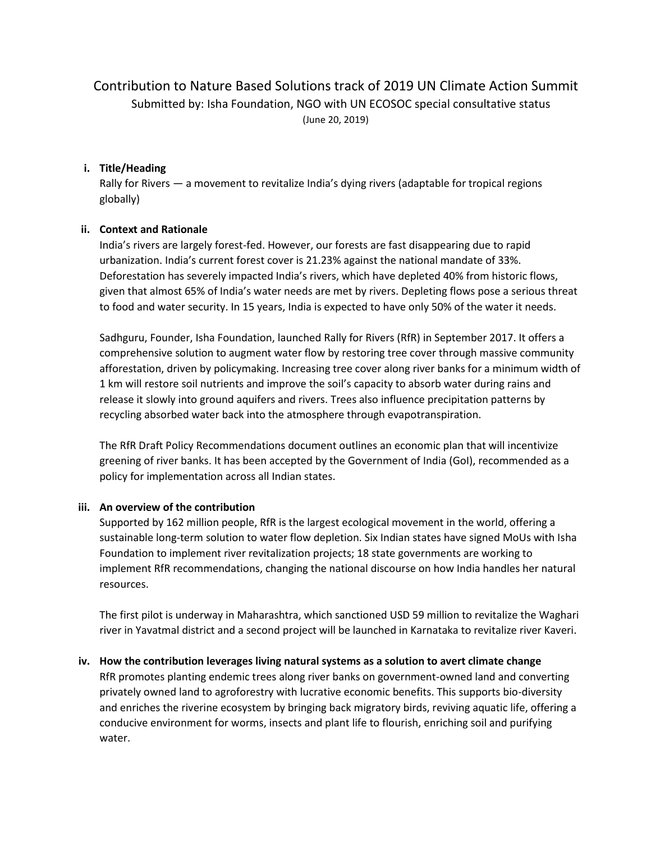# Contribution to Nature Based Solutions track of 2019 UN Climate Action Summit Submitted by: Isha Foundation, NGO with UN ECOSOC special consultative status (June 20, 2019)

#### **i. Title/Heading**

Rally for Rivers — a movement to revitalize India's dying rivers (adaptable for tropical regions globally)

#### **ii. Context and Rationale**

India's rivers are largely forest-fed. However, our forests are fast disappearing due to rapid urbanization. India's current forest cover is 21.23% against the national mandate of 33%. Deforestation has severely impacted India's rivers, which have depleted 40% from historic flows, given that almost 65% of India's water needs are met by rivers. Depleting flows pose a serious threat to food and water security. In 15 years, India is expected to have only 50% of the water it needs.

Sadhguru, Founder, Isha Foundation, launched Rally for Rivers (RfR) in September 2017. It offers a comprehensive solution to augment water flow by restoring tree cover through massive community afforestation, driven by policymaking. Increasing tree cover along river banks for a minimum width of 1 km will restore soil nutrients and improve the soil's capacity to absorb water during rains and release it slowly into ground aquifers and rivers. Trees also influence precipitation patterns by recycling absorbed water back into the atmosphere through evapotranspiration.

The RfR Draft Policy Recommendations document outlines an economic plan that will incentivize greening of river banks. It has been accepted by the Government of India (GoI), recommended as a policy for implementation across all Indian states.

#### **iii. An overview of the contribution**

Supported by 162 million people, RfR is the largest ecological movement in the world, offering a sustainable long-term solution to water flow depletion. Six Indian states have signed MoUs with Isha Foundation to implement river revitalization projects; 18 state governments are working to implement RfR recommendations, changing the national discourse on how India handles her natural resources.

The first pilot is underway in Maharashtra, which sanctioned USD 59 million to revitalize the Waghari river in Yavatmal district and a second project will be launched in Karnataka to revitalize river Kaveri.

#### **iv. How the contribution leverages living natural systems as a solution to avert climate change**

RfR promotes planting endemic trees along river banks on government-owned land and converting privately owned land to agroforestry with lucrative economic benefits. This supports bio-diversity and enriches the riverine ecosystem by bringing back migratory birds, reviving aquatic life, offering a conducive environment for worms, insects and plant life to flourish, enriching soil and purifying water.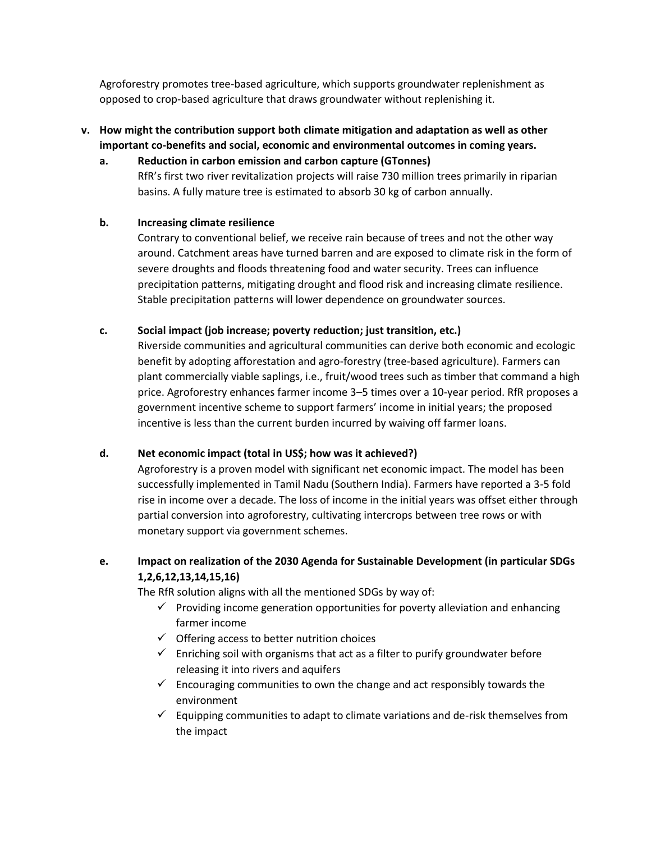Agroforestry promotes tree-based agriculture, which supports groundwater replenishment as opposed to crop-based agriculture that draws groundwater without replenishing it.

# **v. How might the contribution support both climate mitigation and adaptation as well as other important co-benefits and social, economic and environmental outcomes in coming years.**

**a. Reduction in carbon emission and carbon capture (GTonnes)** RfR's first two river revitalization projects will raise 730 million trees primarily in riparian basins. A fully mature tree is estimated to absorb 30 kg of carbon annually.

## **b. Increasing climate resilience**

Contrary to conventional belief, we receive rain because of trees and not the other way around. Catchment areas have turned barren and are exposed to climate risk in the form of severe droughts and floods threatening food and water security. Trees can influence precipitation patterns, mitigating drought and flood risk and increasing climate resilience. Stable precipitation patterns will lower dependence on groundwater sources.

## **c. Social impact (job increase; poverty reduction; just transition, etc.)**

Riverside communities and agricultural communities can derive both economic and ecologic benefit by adopting afforestation and agro-forestry (tree-based agriculture). Farmers can plant commercially viable saplings, i.e., fruit/wood trees such as timber that command a high price. Agroforestry enhances farmer income 3–5 times over a 10-year period. RfR proposes a government incentive scheme to support farmers' income in initial years; the proposed incentive is less than the current burden incurred by waiving off farmer loans.

## **d. Net economic impact (total in US\$; how was it achieved?)**

Agroforestry is a proven model with significant net economic impact. The model has been successfully implemented in Tamil Nadu (Southern India). Farmers have reported a 3-5 fold rise in income over a decade. The loss of income in the initial years was offset either through partial conversion into agroforestry, cultivating intercrops between tree rows or with monetary support via government schemes.

# **e. Impact on realization of the 2030 Agenda for Sustainable Development (in particular SDGs 1,2,6,12,13,14,15,16)**

The RfR solution aligns with all the mentioned SDGs by way of:

- $\checkmark$  Providing income generation opportunities for poverty alleviation and enhancing farmer income
- $\checkmark$  Offering access to better nutrition choices
- $\checkmark$  Enriching soil with organisms that act as a filter to purify groundwater before releasing it into rivers and aquifers
- $\checkmark$  Encouraging communities to own the change and act responsibly towards the environment
- $\checkmark$  Equipping communities to adapt to climate variations and de-risk themselves from the impact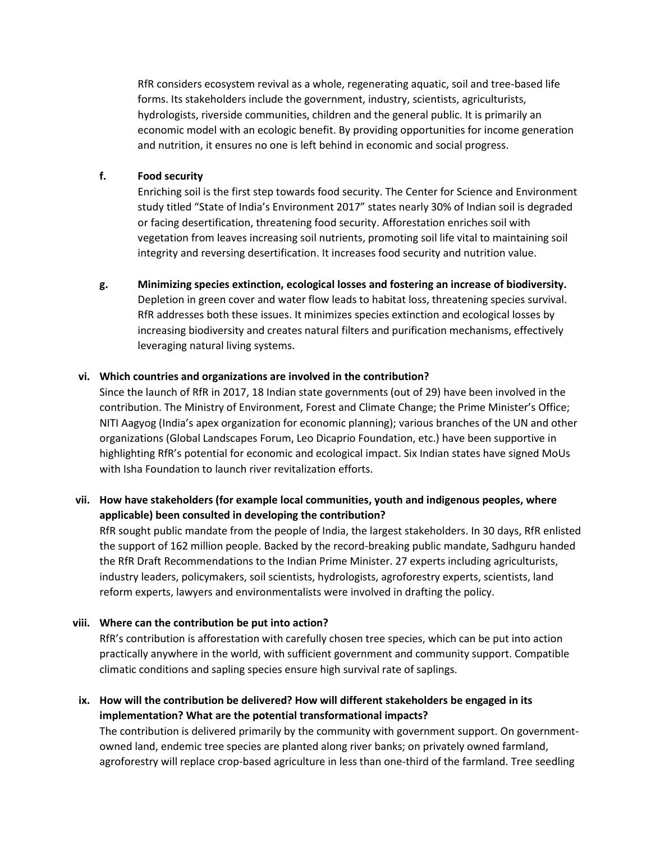RfR considers ecosystem revival as a whole, regenerating aquatic, soil and tree-based life forms. Its stakeholders include the government, industry, scientists, agriculturists, hydrologists, riverside communities, children and the general public. It is primarily an economic model with an ecologic benefit. By providing opportunities for income generation and nutrition, it ensures no one is left behind in economic and social progress.

### **f. Food security**

Enriching soil is the first step towards food security. The Center for Science and Environment study titled "State of India's Environment 2017" states nearly 30% of Indian soil is degraded or facing desertification, threatening food security. Afforestation enriches soil with vegetation from leaves increasing soil nutrients, promoting soil life vital to maintaining soil integrity and reversing desertification. It increases food security and nutrition value.

**g. Minimizing species extinction, ecological losses and fostering an increase of biodiversity.** Depletion in green cover and water flow leads to habitat loss, threatening species survival. RfR addresses both these issues. It minimizes species extinction and ecological losses by increasing biodiversity and creates natural filters and purification mechanisms, effectively leveraging natural living systems.

### **vi. Which countries and organizations are involved in the contribution?**

Since the launch of RfR in 2017, 18 Indian state governments (out of 29) have been involved in the contribution. The Ministry of Environment, Forest and Climate Change; the Prime Minister's Office; NITI Aagyog (India's apex organization for economic planning); various branches of the UN and other organizations (Global Landscapes Forum, Leo Dicaprio Foundation, etc.) have been supportive in highlighting RfR's potential for economic and ecological impact. Six Indian states have signed MoUs with Isha Foundation to launch river revitalization efforts.

# **vii. How have stakeholders (for example local communities, youth and indigenous peoples, where applicable) been consulted in developing the contribution?**

RfR sought public mandate from the people of India, the largest stakeholders. In 30 days, RfR enlisted the support of 162 million people. Backed by the record-breaking public mandate, Sadhguru handed the RfR Draft Recommendations to the Indian Prime Minister. 27 experts including agriculturists, industry leaders, policymakers, soil scientists, hydrologists, agroforestry experts, scientists, land reform experts, lawyers and environmentalists were involved in drafting the policy.

## **viii. Where can the contribution be put into action?**

RfR's contribution is afforestation with carefully chosen tree species, which can be put into action practically anywhere in the world, with sufficient government and community support. Compatible climatic conditions and sapling species ensure high survival rate of saplings.

# **ix. How will the contribution be delivered? How will different stakeholders be engaged in its implementation? What are the potential transformational impacts?**

The contribution is delivered primarily by the community with government support. On governmentowned land, endemic tree species are planted along river banks; on privately owned farmland, agroforestry will replace crop-based agriculture in less than one-third of the farmland. Tree seedling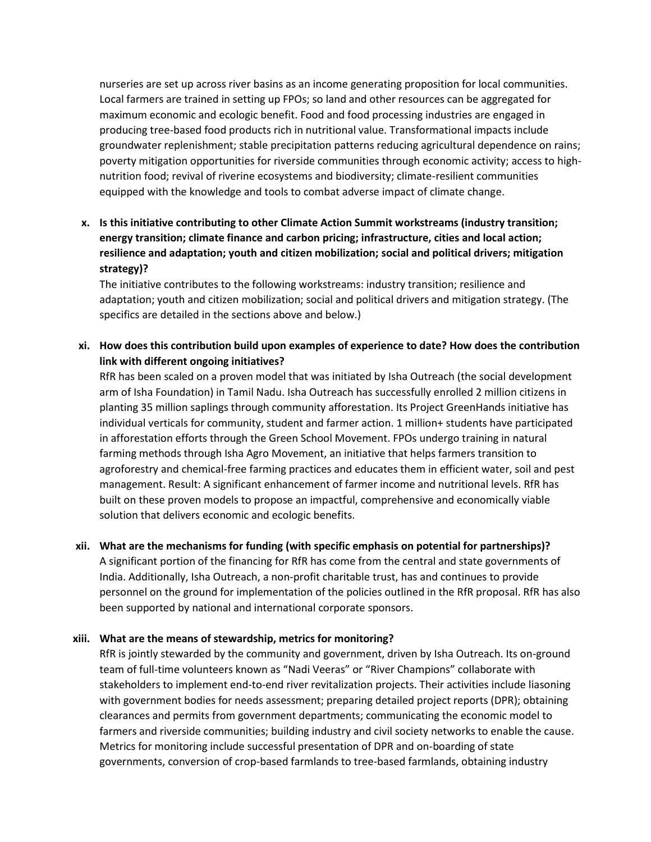nurseries are set up across river basins as an income generating proposition for local communities. Local farmers are trained in setting up FPOs; so land and other resources can be aggregated for maximum economic and ecologic benefit. Food and food processing industries are engaged in producing tree-based food products rich in nutritional value. Transformational impacts include groundwater replenishment; stable precipitation patterns reducing agricultural dependence on rains; poverty mitigation opportunities for riverside communities through economic activity; access to highnutrition food; revival of riverine ecosystems and biodiversity; climate-resilient communities equipped with the knowledge and tools to combat adverse impact of climate change.

**x. Is this initiative contributing to other Climate Action Summit workstreams (industry transition; energy transition; climate finance and carbon pricing; infrastructure, cities and local action; resilience and adaptation; youth and citizen mobilization; social and political drivers; mitigation strategy)?**

The initiative contributes to the following workstreams: industry transition; resilience and adaptation; youth and citizen mobilization; social and political drivers and mitigation strategy. (The specifics are detailed in the sections above and below.)

**xi. How does this contribution build upon examples of experience to date? How does the contribution link with different ongoing initiatives?**

RfR has been scaled on a proven model that was initiated by Isha Outreach (the social development arm of Isha Foundation) in Tamil Nadu. Isha Outreach has successfully enrolled 2 million citizens in planting 35 million saplings through community afforestation. Its Project GreenHands initiative has individual verticals for community, student and farmer action. 1 million+ students have participated in afforestation efforts through the Green School Movement. FPOs undergo training in natural farming methods through Isha Agro Movement, an initiative that helps farmers transition to agroforestry and chemical-free farming practices and educates them in efficient water, soil and pest management. Result: A significant enhancement of farmer income and nutritional levels. RfR has built on these proven models to propose an impactful, comprehensive and economically viable solution that delivers economic and ecologic benefits.

**xii. What are the mechanisms for funding (with specific emphasis on potential for partnerships)?**

A significant portion of the financing for RfR has come from the central and state governments of India. Additionally, Isha Outreach, a non-profit charitable trust, has and continues to provide personnel on the ground for implementation of the policies outlined in the RfR proposal. RfR has also been supported by national and international corporate sponsors.

#### **xiii. What are the means of stewardship, metrics for monitoring?**

RfR is jointly stewarded by the community and government, driven by Isha Outreach. Its on-ground team of full-time volunteers known as "Nadi Veeras" or "River Champions" collaborate with stakeholders to implement end-to-end river revitalization projects. Their activities include liasoning with government bodies for needs assessment; preparing detailed project reports (DPR); obtaining clearances and permits from government departments; communicating the economic model to farmers and riverside communities; building industry and civil society networks to enable the cause. Metrics for monitoring include successful presentation of DPR and on-boarding of state governments, conversion of crop-based farmlands to tree-based farmlands, obtaining industry